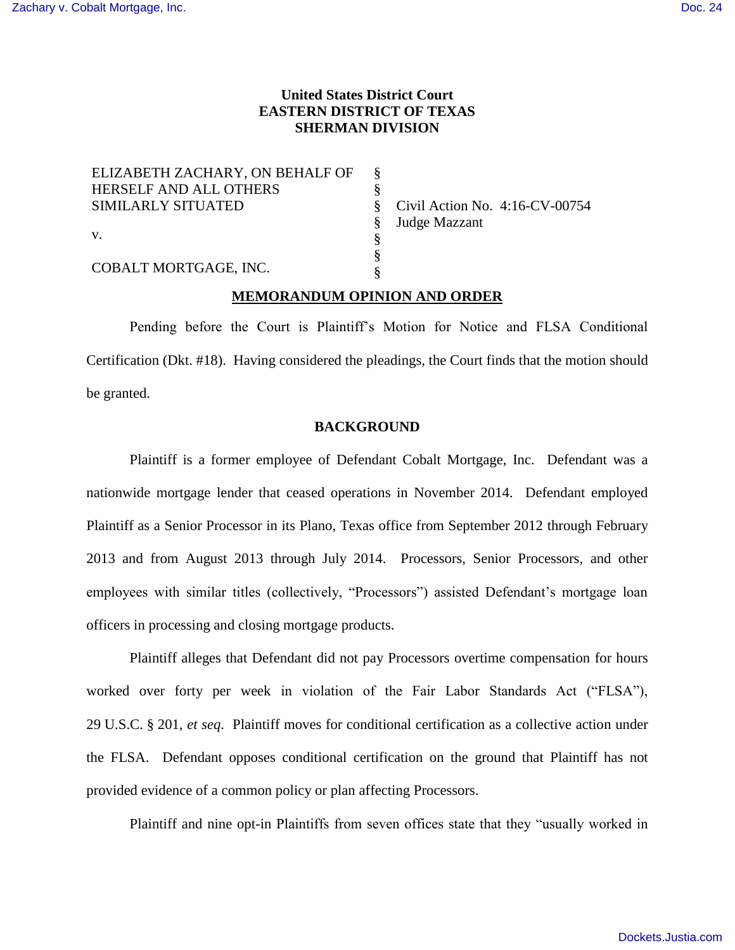# **United States District Court EASTERN DISTRICT OF TEXAS SHERMAN DIVISION**

| ELIZABETH ZACHARY, ON BEHALF OF | 8 |
|---------------------------------|---|
| HERSELF AND ALL OTHERS          |   |
| <b>SIMILARLY SITUATED</b>       |   |
|                                 |   |
| $V_{\cdot}$                     |   |
| COBALT MORTGAGE, INC.           |   |
|                                 |   |

Civil Action No. 4:16-CV-00754 Judge Mazzant

# **MEMORANDUM OPINION AND ORDER**

Pending before the Court is Plaintiff's Motion for Notice and FLSA Conditional Certification (Dkt. #18). Having considered the pleadings, the Court finds that the motion should be granted.

### **BACKGROUND**

Plaintiff is a former employee of Defendant Cobalt Mortgage, Inc. Defendant was a nationwide mortgage lender that ceased operations in November 2014. Defendant employed Plaintiff as a Senior Processor in its Plano, Texas office from September 2012 through February 2013 and from August 2013 through July 2014. Processors, Senior Processors, and other employees with similar titles (collectively, "Processors") assisted Defendant's mortgage loan officers in processing and closing mortgage products.

Plaintiff alleges that Defendant did not pay Processors overtime compensation for hours worked over forty per week in violation of the Fair Labor Standards Act ("FLSA"), 29 U.S.C. § 201, *et seq*. Plaintiff moves for conditional certification as a collective action under the FLSA. Defendant opposes conditional certification on the ground that Plaintiff has not provided evidence of a common policy or plan affecting Processors.

Plaintiff and nine opt-in Plaintiffs from seven offices state that they "usually worked in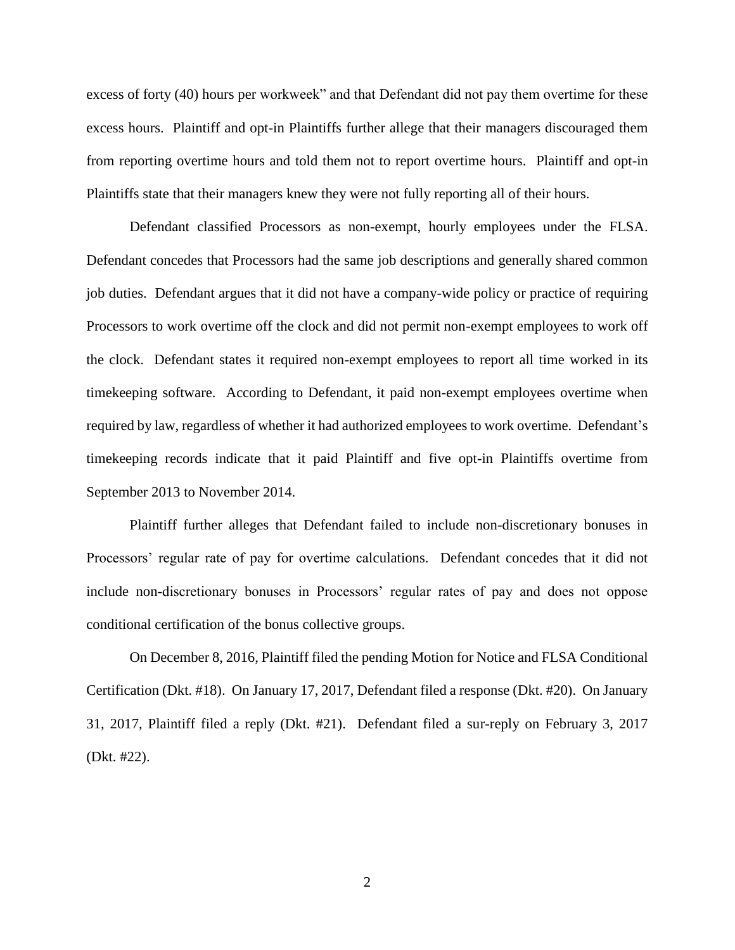excess of forty (40) hours per workweek" and that Defendant did not pay them overtime for these excess hours. Plaintiff and opt-in Plaintiffs further allege that their managers discouraged them from reporting overtime hours and told them not to report overtime hours. Plaintiff and opt-in Plaintiffs state that their managers knew they were not fully reporting all of their hours.

Defendant classified Processors as non-exempt, hourly employees under the FLSA. Defendant concedes that Processors had the same job descriptions and generally shared common job duties. Defendant argues that it did not have a company-wide policy or practice of requiring Processors to work overtime off the clock and did not permit non-exempt employees to work off the clock. Defendant states it required non-exempt employees to report all time worked in its timekeeping software. According to Defendant, it paid non-exempt employees overtime when required by law, regardless of whether it had authorized employees to work overtime. Defendant's timekeeping records indicate that it paid Plaintiff and five opt-in Plaintiffs overtime from September 2013 to November 2014.

Plaintiff further alleges that Defendant failed to include non-discretionary bonuses in Processors' regular rate of pay for overtime calculations. Defendant concedes that it did not include non-discretionary bonuses in Processors' regular rates of pay and does not oppose conditional certification of the bonus collective groups.

On December 8, 2016, Plaintiff filed the pending Motion for Notice and FLSA Conditional Certification (Dkt. #18). On January 17, 2017, Defendant filed a response (Dkt. #20). On January 31, 2017, Plaintiff filed a reply (Dkt. #21). Defendant filed a sur-reply on February 3, 2017 (Dkt. #22).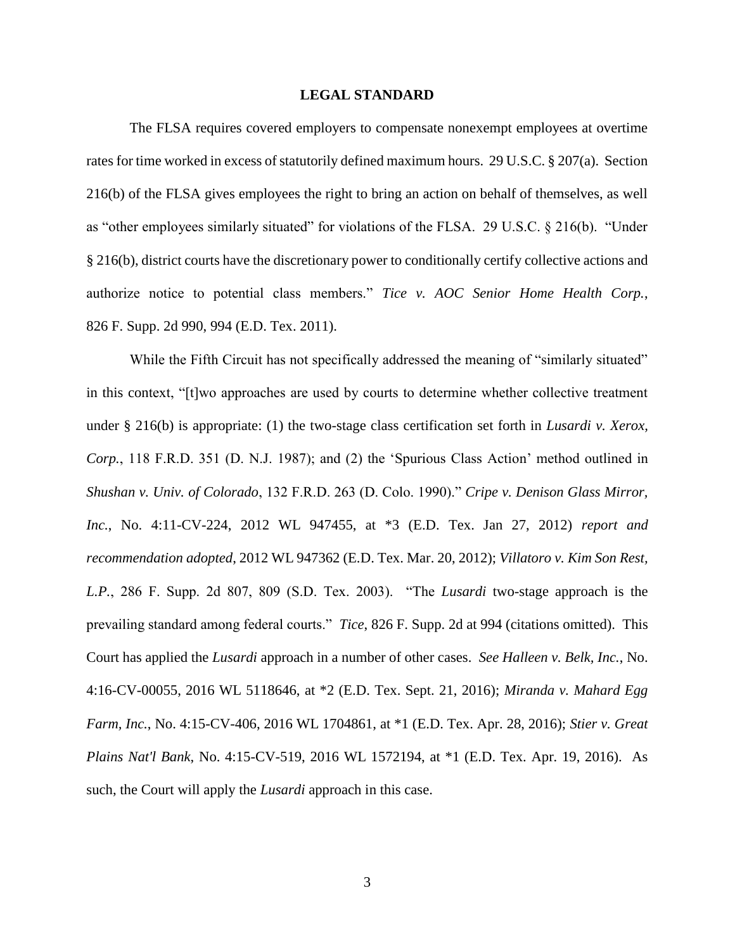### **LEGAL STANDARD**

The FLSA requires covered employers to compensate nonexempt employees at overtime rates for time worked in excess of statutorily defined maximum hours. 29 U.S.C. § 207(a). Section 216(b) of the FLSA gives employees the right to bring an action on behalf of themselves, as well as "other employees similarly situated" for violations of the FLSA. 29 U.S.C. § 216(b). "Under § 216(b), district courts have the discretionary power to conditionally certify collective actions and authorize notice to potential class members." *Tice v. AOC Senior Home Health Corp.*, 826 F. Supp. 2d 990, 994 (E.D. Tex. 2011).

While the Fifth Circuit has not specifically addressed the meaning of "similarly situated" in this context, "[t]wo approaches are used by courts to determine whether collective treatment under § 216(b) is appropriate: (1) the two-stage class certification set forth in *Lusardi v. Xerox, Corp.*, 118 F.R.D. 351 (D. N.J. 1987); and (2) the 'Spurious Class Action' method outlined in *Shushan v. Univ. of Colorado*, 132 F.R.D. 263 (D. Colo. 1990)." *Cripe v. Denison Glass Mirror, Inc.*, No. 4:11-CV-224, 2012 WL 947455, at \*3 (E.D. Tex. Jan 27, 2012) *report and recommendation adopted*, 2012 WL 947362 (E.D. Tex. Mar. 20, 2012); *Villatoro v. Kim Son Rest, L.P.*, 286 F. Supp. 2d 807, 809 (S.D. Tex. 2003). "The *Lusardi* two-stage approach is the prevailing standard among federal courts." *Tice*, 826 F. Supp. 2d at 994 (citations omitted). This Court has applied the *Lusardi* approach in a number of other cases. *See Halleen v. Belk, Inc.*, No. 4:16-CV-00055, 2016 WL 5118646, at \*2 (E.D. Tex. Sept. 21, 2016); *Miranda v. Mahard Egg Farm, Inc.*, No. 4:15-CV-406, 2016 WL 1704861, at \*1 (E.D. Tex. Apr. 28, 2016); *Stier v. Great Plains Nat'l Bank*, No. 4:15-CV-519, 2016 WL 1572194, at \*1 (E.D. Tex. Apr. 19, 2016). As such, the Court will apply the *Lusardi* approach in this case.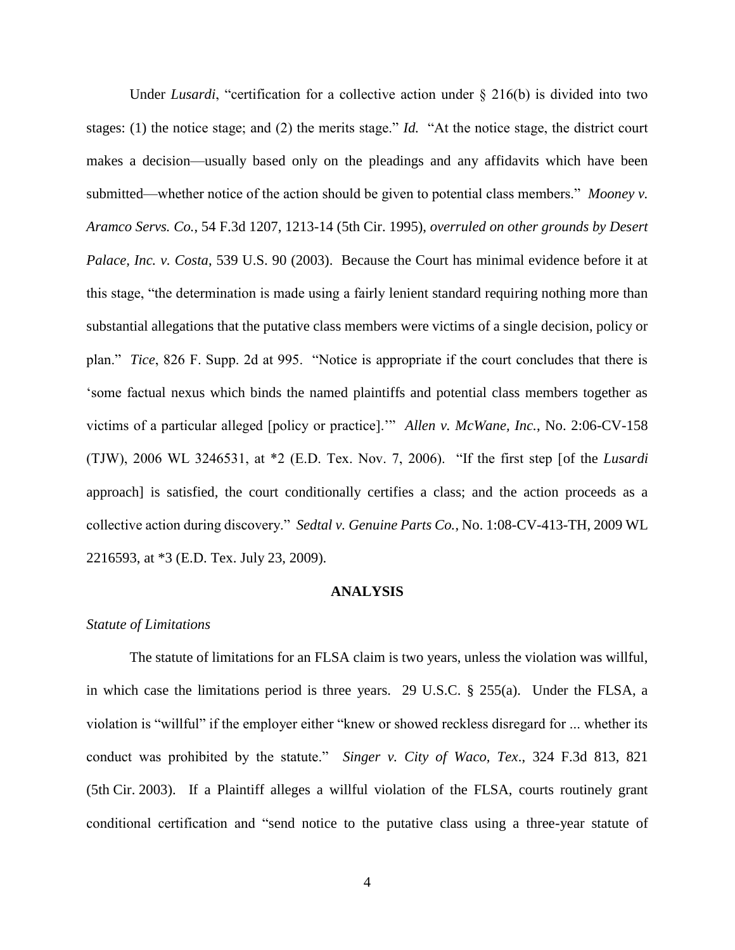Under *Lusardi*, "certification for a collective action under § 216(b) is divided into two stages: (1) the notice stage; and (2) the merits stage." *Id.* "At the notice stage, the district court makes a decision—usually based only on the pleadings and any affidavits which have been submitted—whether notice of the action should be given to potential class members." *Mooney v. Aramco Servs. Co.*, 54 F.3d 1207, 1213-14 (5th Cir. 1995), *overruled on other grounds by Desert Palace, Inc. v. Costa*, 539 U.S. 90 (2003). Because the Court has minimal evidence before it at this stage, "the determination is made using a fairly lenient standard requiring nothing more than substantial allegations that the putative class members were victims of a single decision, policy or plan." *Tice*, 826 F. Supp. 2d at 995. "Notice is appropriate if the court concludes that there is 'some factual nexus which binds the named plaintiffs and potential class members together as victims of a particular alleged [policy or practice].'" *Allen v. McWane, Inc.*, No. 2:06-CV-158 (TJW), 2006 WL 3246531, at \*2 (E.D. Tex. Nov. 7, 2006). "If the first step [of the *Lusardi* approach] is satisfied, the court conditionally certifies a class; and the action proceeds as a collective action during discovery." *Sedtal v. Genuine Parts Co.*, No. 1:08-CV-413-TH, 2009 WL 2216593, at \*3 (E.D. Tex. July 23, 2009).

#### **ANALYSIS**

#### *Statute of Limitations*

The statute of limitations for an FLSA claim is two years, unless the violation was willful, in which case the limitations period is three years. 29 U.S.C. § 255(a). Under the FLSA, a violation is "willful" if the employer either "knew or showed reckless disregard for ... whether its conduct was prohibited by the statute." *Singer v. City of Waco, Tex*., 324 F.3d 813, 821 (5th Cir. 2003). If a Plaintiff alleges a willful violation of the FLSA, courts routinely grant conditional certification and "send notice to the putative class using a three-year statute of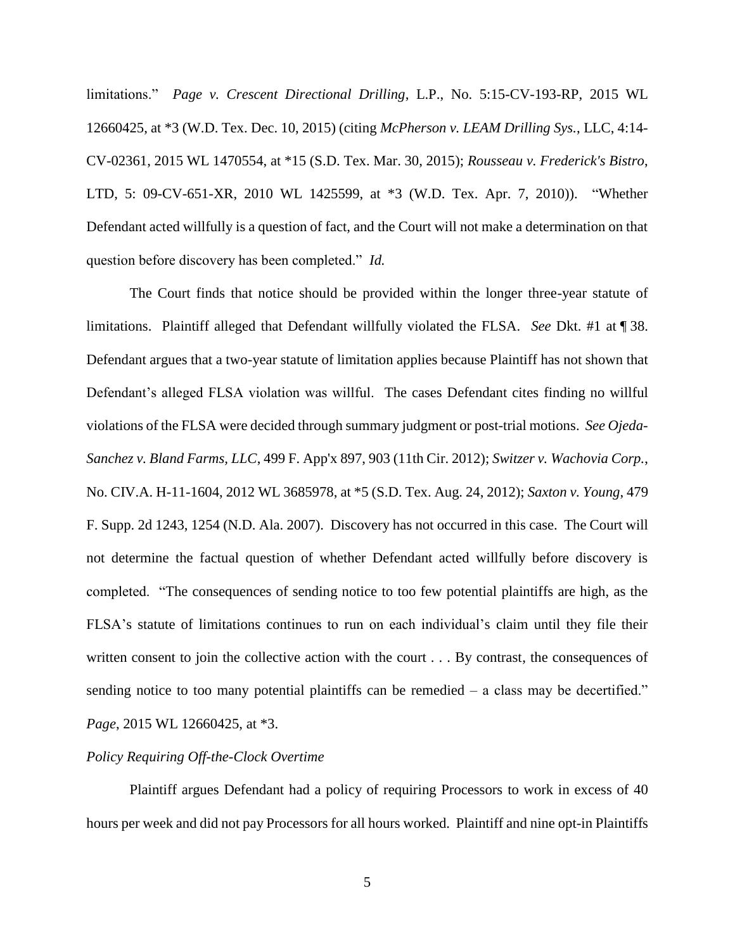limitations." *Page v. Crescent Directional Drilling*, L.P., No. 5:15-CV-193-RP, 2015 WL 12660425, at \*3 (W.D. Tex. Dec. 10, 2015) (citing *McPherson v. LEAM Drilling Sys.*, LLC, 4:14- CV-02361, 2015 WL 1470554, at \*15 (S.D. Tex. Mar. 30, 2015); *Rousseau v. Frederick's Bistro*, LTD, 5: 09-CV-651-XR, 2010 WL 1425599, at \*3 (W.D. Tex. Apr. 7, 2010)). "Whether Defendant acted willfully is a question of fact, and the Court will not make a determination on that question before discovery has been completed." *Id.* 

The Court finds that notice should be provided within the longer three-year statute of limitations. Plaintiff alleged that Defendant willfully violated the FLSA. *See* Dkt. #1 at ¶ 38. Defendant argues that a two-year statute of limitation applies because Plaintiff has not shown that Defendant's alleged FLSA violation was willful. The cases Defendant cites finding no willful violations of the FLSA were decided through summary judgment or post-trial motions. *See Ojeda-Sanchez v. Bland Farms, LLC*, 499 F. App'x 897, 903 (11th Cir. 2012); *Switzer v. Wachovia Corp.*, No. CIV.A. H-11-1604, 2012 WL 3685978, at \*5 (S.D. Tex. Aug. 24, 2012); *Saxton v. Young*, 479 F. Supp. 2d 1243, 1254 (N.D. Ala. 2007). Discovery has not occurred in this case. The Court will not determine the factual question of whether Defendant acted willfully before discovery is completed. "The consequences of sending notice to too few potential plaintiffs are high, as the FLSA's statute of limitations continues to run on each individual's claim until they file their written consent to join the collective action with the court . . . By contrast, the consequences of sending notice to too many potential plaintiffs can be remedied – a class may be decertified." *Page*, 2015 WL 12660425, at \*3.

## *Policy Requiring Off-the-Clock Overtime*

Plaintiff argues Defendant had a policy of requiring Processors to work in excess of 40 hours per week and did not pay Processors for all hours worked. Plaintiff and nine opt-in Plaintiffs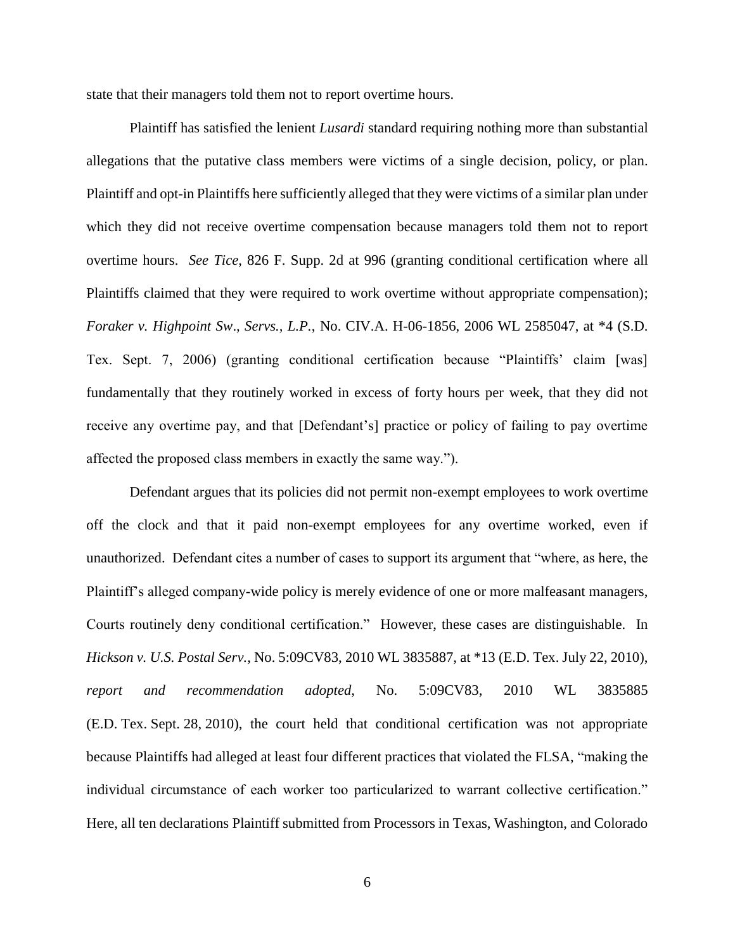state that their managers told them not to report overtime hours.

Plaintiff has satisfied the lenient *Lusardi* standard requiring nothing more than substantial allegations that the putative class members were victims of a single decision, policy, or plan. Plaintiff and opt-in Plaintiffs here sufficiently alleged that they were victims of a similar plan under which they did not receive overtime compensation because managers told them not to report overtime hours. *See Tice*, 826 F. Supp. 2d at 996 (granting conditional certification where all Plaintiffs claimed that they were required to work overtime without appropriate compensation); *Foraker v. Highpoint Sw*.*, Servs., L.P.*, No. CIV.A. H-06-1856, 2006 WL 2585047, at \*4 (S.D. Tex. Sept. 7, 2006) (granting conditional certification because "Plaintiffs' claim [was] fundamentally that they routinely worked in excess of forty hours per week, that they did not receive any overtime pay, and that [Defendant's] practice or policy of failing to pay overtime affected the proposed class members in exactly the same way.").

Defendant argues that its policies did not permit non-exempt employees to work overtime off the clock and that it paid non-exempt employees for any overtime worked, even if unauthorized. Defendant cites a number of cases to support its argument that "where, as here, the Plaintiff's alleged company-wide policy is merely evidence of one or more malfeasant managers, Courts routinely deny conditional certification." However, these cases are distinguishable. In *Hickson v. U.S. Postal Serv.*, No. 5:09CV83, 2010 WL 3835887, at \*13 (E.D. Tex. July 22, 2010), *report and recommendation adopted*, No. 5:09CV83, 2010 WL 3835885 (E.D. Tex. Sept. 28, 2010), the court held that conditional certification was not appropriate because Plaintiffs had alleged at least four different practices that violated the FLSA, "making the individual circumstance of each worker too particularized to warrant collective certification." Here, all ten declarations Plaintiff submitted from Processors in Texas, Washington, and Colorado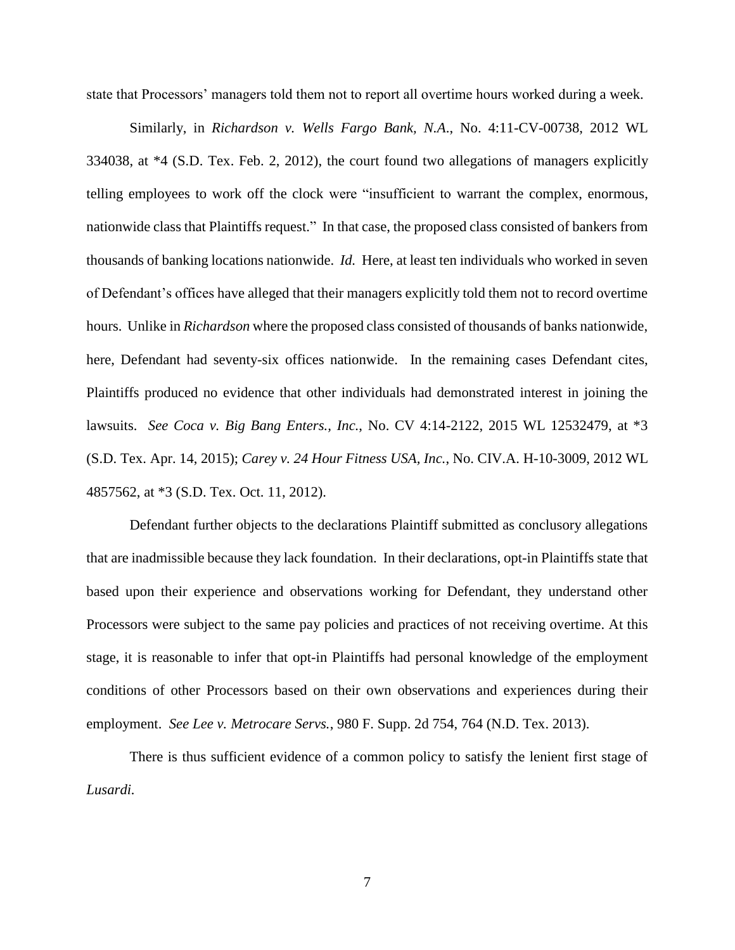state that Processors' managers told them not to report all overtime hours worked during a week.

Similarly, in *Richardson v. Wells Fargo Bank, N.A*., No. 4:11-CV-00738, 2012 WL 334038, at \*4 (S.D. Tex. Feb. 2, 2012), the court found two allegations of managers explicitly telling employees to work off the clock were "insufficient to warrant the complex, enormous, nationwide class that Plaintiffs request." In that case, the proposed class consisted of bankers from thousands of banking locations nationwide. *Id.* Here, at least ten individuals who worked in seven of Defendant's offices have alleged that their managers explicitly told them not to record overtime hours. Unlike in *Richardson* where the proposed class consisted of thousands of banks nationwide, here, Defendant had seventy-six offices nationwide. In the remaining cases Defendant cites, Plaintiffs produced no evidence that other individuals had demonstrated interest in joining the lawsuits. *See Coca v. Big Bang Enters., Inc.*, No. CV 4:14-2122, 2015 WL 12532479, at \*3 (S.D. Tex. Apr. 14, 2015); *Carey v. 24 Hour Fitness USA, Inc.*, No. CIV.A. H-10-3009, 2012 WL 4857562, at \*3 (S.D. Tex. Oct. 11, 2012).

Defendant further objects to the declarations Plaintiff submitted as conclusory allegations that are inadmissible because they lack foundation. In their declarations, opt-in Plaintiffs state that based upon their experience and observations working for Defendant, they understand other Processors were subject to the same pay policies and practices of not receiving overtime. At this stage, it is reasonable to infer that opt-in Plaintiffs had personal knowledge of the employment conditions of other Processors based on their own observations and experiences during their employment. *See Lee v. Metrocare Servs.*, 980 F. Supp. 2d 754, 764 (N.D. Tex. 2013).

There is thus sufficient evidence of a common policy to satisfy the lenient first stage of *Lusardi.*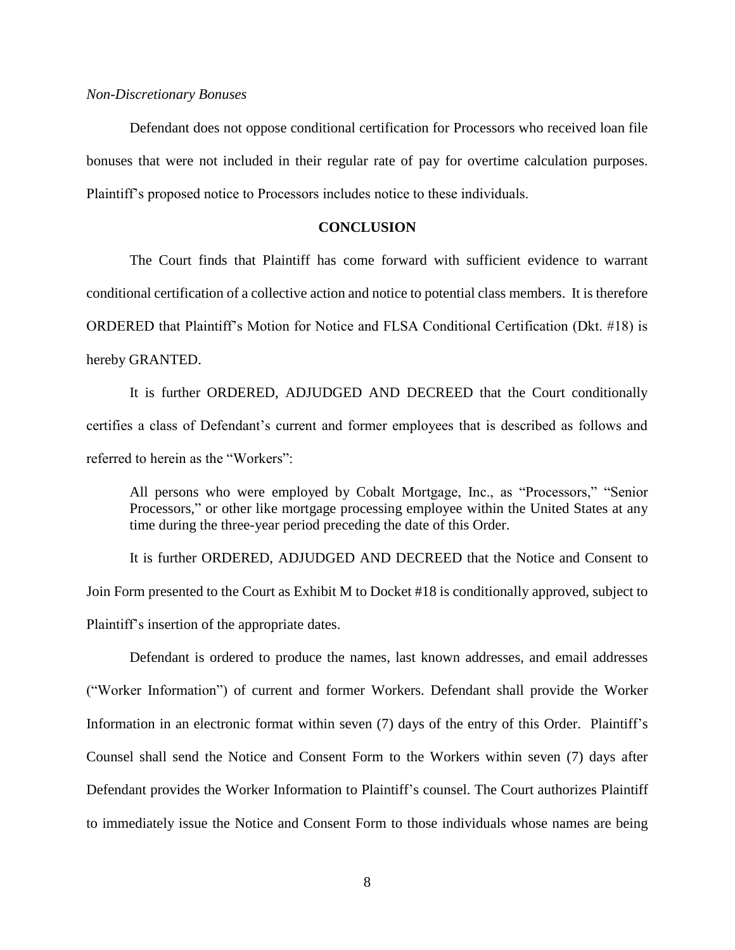#### *Non-Discretionary Bonuses*

Defendant does not oppose conditional certification for Processors who received loan file bonuses that were not included in their regular rate of pay for overtime calculation purposes. Plaintiff's proposed notice to Processors includes notice to these individuals.

## **CONCLUSION**

The Court finds that Plaintiff has come forward with sufficient evidence to warrant conditional certification of a collective action and notice to potential class members. It is therefore ORDERED that Plaintiff's Motion for Notice and FLSA Conditional Certification (Dkt. #18) is hereby GRANTED.

It is further ORDERED, ADJUDGED AND DECREED that the Court conditionally certifies a class of Defendant's current and former employees that is described as follows and referred to herein as the "Workers":

All persons who were employed by Cobalt Mortgage, Inc., as "Processors," "Senior Processors," or other like mortgage processing employee within the United States at any time during the three-year period preceding the date of this Order.

It is further ORDERED, ADJUDGED AND DECREED that the Notice and Consent to Join Form presented to the Court as Exhibit M to Docket #18 is conditionally approved, subject to Plaintiff's insertion of the appropriate dates.

Defendant is ordered to produce the names, last known addresses, and email addresses ("Worker Information") of current and former Workers. Defendant shall provide the Worker Information in an electronic format within seven (7) days of the entry of this Order. Plaintiff's Counsel shall send the Notice and Consent Form to the Workers within seven (7) days after Defendant provides the Worker Information to Plaintiff's counsel. The Court authorizes Plaintiff to immediately issue the Notice and Consent Form to those individuals whose names are being